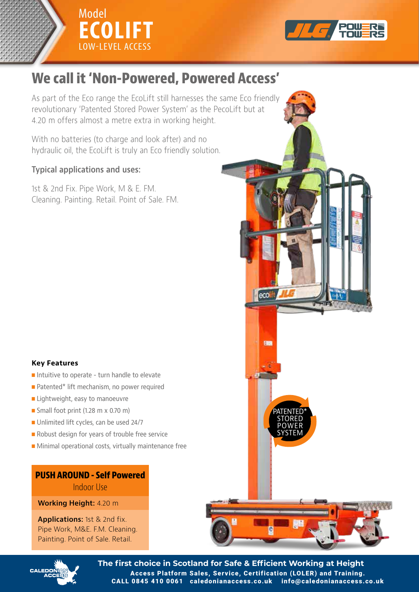



# **We call it 'Non-Powered, Powered Access'**

As part of the Eco range the EcoLift still harnesses the same Eco friendly revolutionary 'Patented Stored Power System' as the PecoLift but at 4.20 m offers almost a metre extra in working height.

hydraulic oil, the EcoLift is truly an Eco friendly solution. With no batteries (to charge and look after) and no

#### hydraulic oil, the EcoLift is truly an Eco friendly solution. **Typical applications and uses:**

**Typical applications and uses:** Cleaning. Painting. Retail. Point of Sale. FM. 1st & 2nd Fix. Pipe Work, M & E. FM.

## **Key Features**

- **Intuitive to operate turn handle to elevate**
- $\blacksquare$  Patented\* lift mechanism, no power required
- $\blacksquare$  Lightweight, easy to manoeuvre
- **n** Small foot print (1.28 m x 0.70 m)
- $\blacksquare$  Unlimited lift cycles, can be used 24/7
- Robust design for years of trouble free service
- **n** Minimal operational costs, virtually maintenance free

# **PUSH AROUND - Self Powered AROUND - Self Powered AROUND - Self Power PUSH AROUND - Self Powered**

**Working Height:** 4.20 m

Pipe Work, M&E. F.M. Cleaning. Painting. Point of Sale. Retail. **Applications:** 1st & 2nd fix.

Painting. Point of Sale. Retail.



 $P$   $P$   $N$   $N$   $F$   $R$ SVSTEM **Power** 

PATENTED\* STORED POWER SYSTEM

leco

BB



**The first choice in Scotland for Safe & Efficient Working at Height** Access Platform Sales, Service, Certification (LOLER) and Training. CALL 0845 410 0061 caledonianaccess.co.uk info@caledonianaccess.co.uk